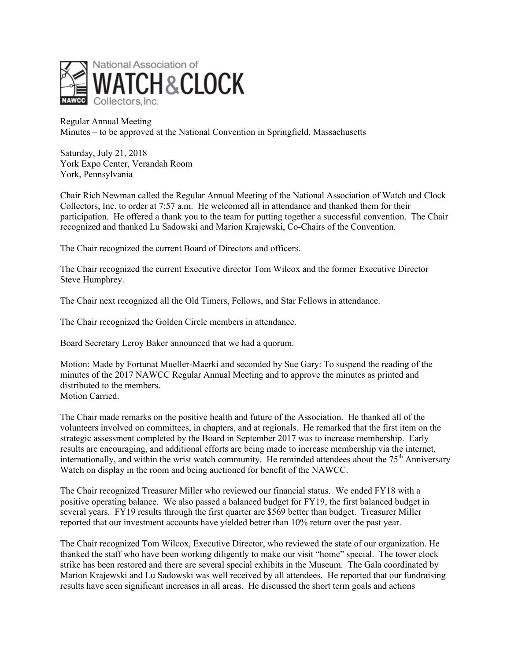

Regular Annual Meeting Minutes – to be approved at the National Convention in Springfield, Massachusetts

Saturday, July 21, 2018 York Expo Center, Verandah Room York, Pennsylvania

Chair Rich Newman called the Regular Annual Meeting of the National Association of Watch and Clock Collectors, Inc. to order at 7:57 a.m. He welcomed all in attendance and thanked them for their participation. He offered a thank you to the team for putting together a successful convention. The Chair recognized and thanked Lu Sadowski and Marion Krajewski, Co-Chairs of the Convention.

The Chair recognized the current Board of Directors and officers.

The Chair recognized the current Executive director Tom Wilcox and the former Executive Director Steve Humphrey.

The Chair next recognized all the Old Timers, Fellows, and Star Fellows in attendance.

The Chair recognized the Golden Circle members in attendance.

Board Secretary Leroy Baker announced that we had a quorum.

Motion: Made by Fortunat Mueller-Maerki and seconded by Sue Gary: To suspend the reading of the minutes of the 2017 NAWCC Regular Annual Meeting and to approve the minutes as printed and distributed to the members. Motion Carried.

The Chair made remarks on the positive health and future of the Association. He thanked all of the volunteers involved on committees, in chapters, and at regionals. He remarked that the first item on the strategic assessment completed by the Board in September 2017 was to increase membership. Early results are encouraging, and additional efforts are being made to increase membership via the internet, internationally, and within the wrist watch community. He reminded attendees about the  $75<sup>th</sup>$  Anniversary Watch on display in the room and being auctioned for benefit of the NAWCC.

The Chair recognized Treasurer Miller who reviewed our financial status. We ended FY18 with a positive operating balance. We also passed a balanced budget for FY19, the first balanced budget in several years. FY19 results through the first quarter are \$569 better than budget. Treasurer Miller reported that our investment accounts have yielded better than 10% return over the past year.

The Chair recognized Tom Wilcox, Executive Director, who reviewed the state of our organization. He thanked the staff who have been working diligently to make our visit "home" special. The tower clock strike has been restored and there are several special exhibits in the Museum. The Gala coordinated by Marion Krajewski and Lu Sadowski was well received by all attendees. He reported that our fundraising results have seen significant increases in all areas. He discussed the short term goals and actions